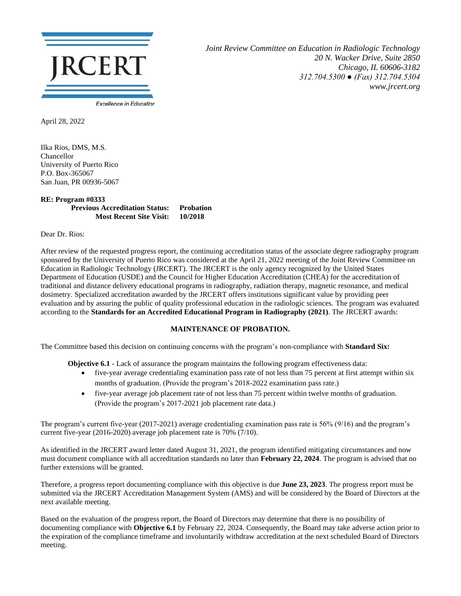

*Joint Review Committee on Education in Radiologic Technology 20 N. Wacker Drive, Suite 2850 Chicago, IL 60606-3182 312.704.5300 ● (Fax) 312.704.5304 www.jrcert.org*

April 28, 2022

Ilka Rios, DMS, M.S. Chancellor University of Puerto Rico P.O. Box-365067 San Juan, PR 00936-5067

## **RE: Program #0333 Previous Accreditation Status: Probation Most Recent Site Visit: 10/2018**

Dear Dr. Rios:

After review of the requested progress report, the continuing accreditation status of the associate degree radiography program sponsored by the University of Puerto Rico was considered at the April 21, 2022 meeting of the Joint Review Committee on Education in Radiologic Technology (JRCERT). The JRCERT is the only agency recognized by the United States Department of Education (USDE) and the Council for Higher Education Accreditation (CHEA) for the accreditation of traditional and distance delivery educational programs in radiography, radiation therapy, magnetic resonance, and medical dosimetry. Specialized accreditation awarded by the JRCERT offers institutions significant value by providing peer evaluation and by assuring the public of quality professional education in the radiologic sciences. The program was evaluated according to the **Standards for an Accredited Educational Program in Radiography (2021)**. The JRCERT awards:

## **MAINTENANCE OF PROBATION.**

The Committee based this decision on continuing concerns with the program's non-compliance with **Standard Six:**

**Objective 6.1** - Lack of assurance the program maintains the following program effectiveness data:

- five-year average credentialing examination pass rate of not less than 75 percent at first attempt within six months of graduation. (Provide the program's 2018-2022 examination pass rate.)
- five-year average job placement rate of not less than 75 percent within twelve months of graduation. (Provide the program's 2017-2021 job placement rate data.)

The program's current five-year (2017-2021) average credentialing examination pass rate is 56% (9/16) and the program's current five-year (2016-2020) average job placement rate is 70% (7/10).

As identified in the JRCERT award letter dated August 31, 2021, the program identified mitigating circumstances and now must document compliance with all accreditation standards no later than **February 22, 2024**. The program is advised that no further extensions will be granted.

Therefore, a progress report documenting compliance with this objective is due **June 23, 2023**. The progress report must be submitted via the JRCERT Accreditation Management System (AMS) and will be considered by the Board of Directors at the next available meeting.

Based on the evaluation of the progress report, the Board of Directors may determine that there is no possibility of documenting compliance with **Objective 6.1** by February 22, 2024. Consequently, the Board may take adverse action prior to the expiration of the compliance timeframe and involuntarily withdraw accreditation at the next scheduled Board of Directors meeting.